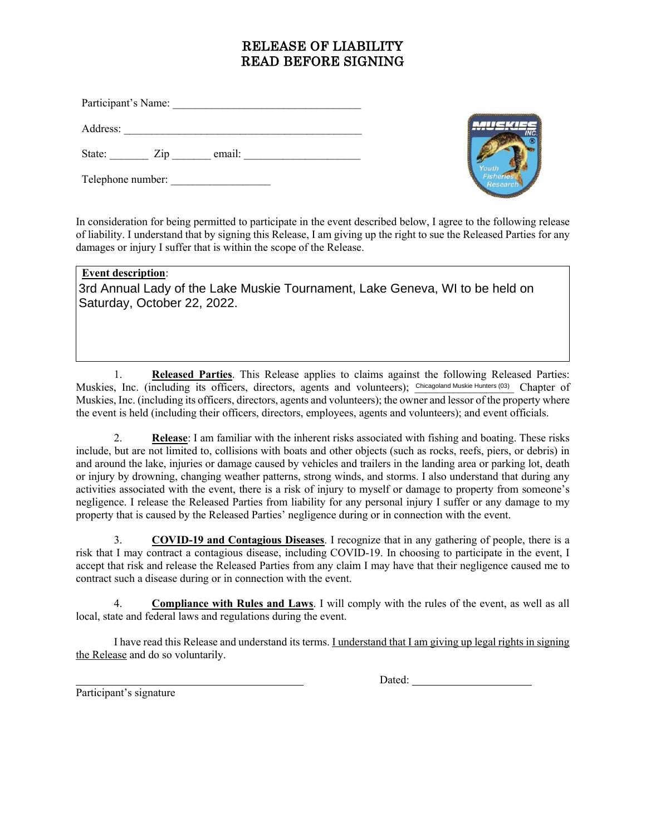## RELEASE OF LIABILITY READ BEFORE SIGNING

Participant's Name: \_\_\_\_\_\_\_\_\_\_\_\_\_\_\_\_\_\_\_\_\_\_\_\_\_\_\_\_\_\_\_\_\_\_

Address: \_\_\_\_\_\_\_\_\_\_\_\_\_\_\_\_\_\_\_\_\_\_\_\_\_\_\_\_\_\_\_\_\_\_\_\_\_\_\_\_\_\_\_

State: Zip email:

Telephone number:



In consideration for being permitted to participate in the event described below, I agree to the following release of liability. I understand that by signing this Release, I am giving up the right to sue the Released Parties for any damages or injury I suffer that is within the scope of the Release.

## **Event description**:

3rd Annual Lady of the Lake Muskie Tournament, Lake Geneva, WI to be held on Saturday, October 22, 2022.

1. **Released Parties**. This Release applies to claims against the following Released Parties: Muskies, Inc. (including its officers, directors, agents and volunteers); Chicagoland Muskie Hunters (03) Chapter of Muskies, Inc. (including its officers, directors, agents and volunteers); the owner and lessor of the property where the event is held (including their officers, directors, employees, agents and volunteers); and event officials.

2. **Release**: I am familiar with the inherent risks associated with fishing and boating. These risks include, but are not limited to, collisions with boats and other objects (such as rocks, reefs, piers, or debris) in and around the lake, injuries or damage caused by vehicles and trailers in the landing area or parking lot, death or injury by drowning, changing weather patterns, strong winds, and storms. I also understand that during any activities associated with the event, there is a risk of injury to myself or damage to property from someone's negligence. I release the Released Parties from liability for any personal injury I suffer or any damage to my property that is caused by the Released Parties' negligence during or in connection with the event.

3. **COVID-19 and Contagious Diseases**. I recognize that in any gathering of people, there is a risk that I may contract a contagious disease, including COVID-19. In choosing to participate in the event, I accept that risk and release the Released Parties from any claim I may have that their negligence caused me to contract such a disease during or in connection with the event.

4. **Compliance with Rules and Laws**. I will comply with the rules of the event, as well as all local, state and federal laws and regulations during the event.

I have read this Release and understand its terms. I understand that I am giving up legal rights in signing the Release and do so voluntarily.

Participant's signature

Dated: The contract of the contract of the contract of the contract of the contract of the contract of the contract of the contract of the contract of the contract of the contract of the contract of the contract of the con